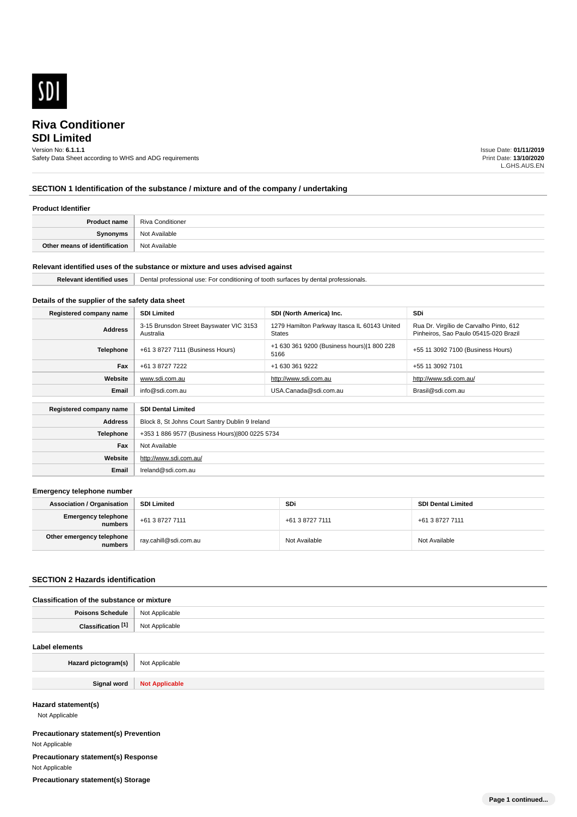

# **SDI Limited**

Version No: **6.1.1.1**

Safety Data Sheet according to WHS and ADG requirements

Issue Date: **01/11/2019** Print Date: **13/10/2020** L.GHS.AUS.EN

# **SECTION 1 Identification of the substance / mixture and of the company / undertaking**

#### **Product Identifier**

| <b>Product name</b>           | Riva Conditioner |
|-------------------------------|------------------|
| Synonyms                      | Not Available    |
| Other means of identification | Not Available    |

#### **Relevant identified uses of the substance or mixture and uses advised against**

| <b>Dolough</b><br>- насы | Dental<br>rofessional<br>use:<br>r conditioning<br>. .<br>aanta<br>professionals.<br>้∩∩th<br>иена<br>. |
|--------------------------|---------------------------------------------------------------------------------------------------------|
|                          |                                                                                                         |

# **Details of the supplier of the safety data sheet**

**Website**

**Email** Ireland@sdi.com.au

http://www.sdi.com.au/

| Registered company name | <b>SDI Limited</b>                                   | SDI (North America) Inc.                                      | <b>SDi</b>                                                                       |
|-------------------------|------------------------------------------------------|---------------------------------------------------------------|----------------------------------------------------------------------------------|
| <b>Address</b>          | 3-15 Brunsdon Street Bayswater VIC 3153<br>Australia | 1279 Hamilton Parkway Itasca IL 60143 United<br><b>States</b> | Rua Dr. Virgílio de Carvalho Pinto, 612<br>Pinheiros, Sao Paulo 05415-020 Brazil |
| <b>Telephone</b>        | +61 3 8727 7111 (Business Hours)                     | +1 630 361 9200 (Business hours) 1 800 228<br>5166            | +55 11 3092 7100 (Business Hours)                                                |
| Fax                     | +61 3 8727 7222                                      | +1 630 361 9222                                               | +55 11 3092 7101                                                                 |
| Website                 | www.sdi.com.au                                       | http://www.sdi.com.au                                         | http://www.sdi.com.au/                                                           |
| Email                   | info@sdi.com.au                                      | USA.Canada@sdi.com.au                                         | Brasil@sdi.com.au                                                                |
|                         |                                                      |                                                               |                                                                                  |
| Registered company name | <b>SDI Dental Limited</b>                            |                                                               |                                                                                  |
| <b>Address</b>          | Block 8, St Johns Court Santry Dublin 9 Ireland      |                                                               |                                                                                  |
| <b>Telephone</b>        | +353 1 886 9577 (Business Hours) 800 0225 5734       |                                                               |                                                                                  |
| Fax                     | Not Available                                        |                                                               |                                                                                  |

#### **Emergency telephone number**

| <b>Association / Organisation</b>    | <b>SDI Limited</b>    | <b>SDi</b>      | <b>SDI Dental Limited</b> |
|--------------------------------------|-----------------------|-----------------|---------------------------|
| Emergency telephone<br>numbers       | +61 3 8727 7111       | +61 3 8727 7111 | +61 3 8727 7111           |
| Other emergency telephone<br>numbers | ray.cahill@sdi.com.au | Not Available   | Not Available             |

#### **SECTION 2 Hazards identification**

## **Classification of the substance or mixture**

| Daice | licable                                                  |
|-------|----------------------------------------------------------|
| 1ule  | <b>N<sub>IO</sub></b>                                    |
| .     | ∩ohlo<br>.<br>the contract of the contract of the<br>. . |

#### **Label elements**

| Hazard pictogram(s) | Not Applicable                              |
|---------------------|---------------------------------------------|
|                     |                                             |
| Ciano.<br>- - - - - | <b>N<sub>o</sub></b><br>$110011.$ PP $1101$ |

### **Hazard statement(s)**

Not Applicable

**Precautionary statement(s) Prevention** Not Applicable **Precautionary statement(s) Response** Not Applicable **Precautionary statement(s) Storage**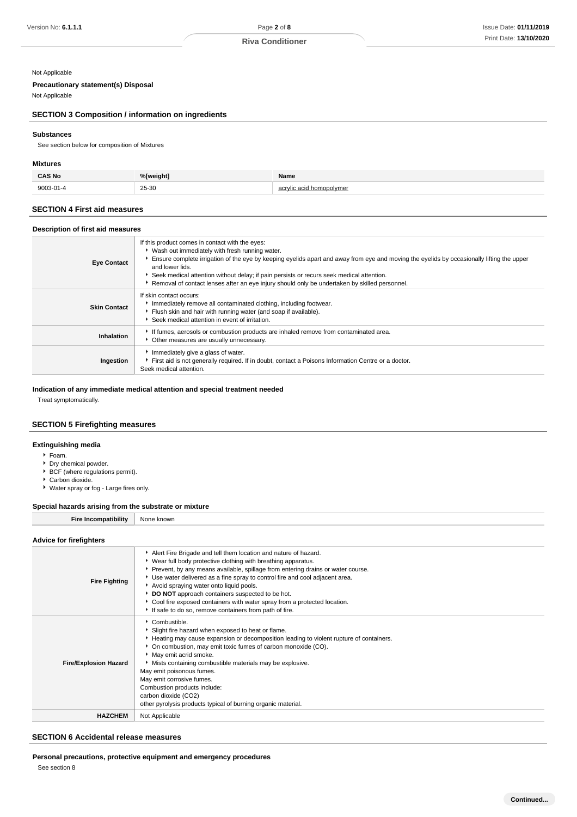#### Not Applicable

## **Precautionary statement(s) Disposal**

Not Applicable

## **SECTION 3 Composition / information on ingredients**

#### **Substances**

See section below for composition of Mixtures

### **Mixtures**

| <b>CAS No</b>   | %[weight]  | Name        |
|-----------------|------------|-------------|
| $9003 - 01 - 5$ | 25-30<br>. | $\sim$<br>ິ |

## **SECTION 4 First aid measures**

| Description of first aid measures |  |
|-----------------------------------|--|
|                                   |  |

| <b>Eye Contact</b>  | If this product comes in contact with the eyes:<br>▶ Wash out immediately with fresh running water.<br>Ensure complete irrigation of the eye by keeping eyelids apart and away from eye and moving the eyelids by occasionally lifting the upper<br>and lower lids.<br>▶ Seek medical attention without delay; if pain persists or recurs seek medical attention.<br>▶ Removal of contact lenses after an eye injury should only be undertaken by skilled personnel. |
|---------------------|----------------------------------------------------------------------------------------------------------------------------------------------------------------------------------------------------------------------------------------------------------------------------------------------------------------------------------------------------------------------------------------------------------------------------------------------------------------------|
| <b>Skin Contact</b> | If skin contact occurs:<br>Immediately remove all contaminated clothing, including footwear.<br>Flush skin and hair with running water (and soap if available).<br>Seek medical attention in event of irritation.                                                                                                                                                                                                                                                    |
| Inhalation          | If fumes, aerosols or combustion products are inhaled remove from contaminated area.<br>• Other measures are usually unnecessary.                                                                                                                                                                                                                                                                                                                                    |
| Ingestion           | Immediately give a glass of water.<br>First aid is not generally required. If in doubt, contact a Poisons Information Centre or a doctor.<br>Seek medical attention.                                                                                                                                                                                                                                                                                                 |

### **Indication of any immediate medical attention and special treatment needed**

Treat symptomatically.

### **SECTION 5 Firefighting measures**

## **Extinguishing media**

- Foam.
- ► Dry chemical powder.
- ▶ BCF (where regulations permit).
- ▶ Carbon dioxide.
- Water spray or fog Large fires only.

#### **Special hazards arising from the substrate or mixture**

| None<br>knowr |  |
|---------------|--|
|---------------|--|

## **Advice for firefighters**

| unice in illeligillera       |                                                                                                                                                                                                                                                                                                                                                                                                                                                                                                                                             |
|------------------------------|---------------------------------------------------------------------------------------------------------------------------------------------------------------------------------------------------------------------------------------------------------------------------------------------------------------------------------------------------------------------------------------------------------------------------------------------------------------------------------------------------------------------------------------------|
| <b>Fire Fighting</b>         | Alert Fire Brigade and tell them location and nature of hazard.<br>▶ Wear full body protective clothing with breathing apparatus.<br>▶ Prevent, by any means available, spillage from entering drains or water course.<br>Use water delivered as a fine spray to control fire and cool adjacent area.<br>Avoid spraying water onto liquid pools.<br>DO NOT approach containers suspected to be hot.<br>• Cool fire exposed containers with water spray from a protected location.<br>If safe to do so, remove containers from path of fire. |
| <b>Fire/Explosion Hazard</b> | Combustible.<br>Slight fire hazard when exposed to heat or flame.<br>Heating may cause expansion or decomposition leading to violent rupture of containers.<br>• On combustion, may emit toxic fumes of carbon monoxide (CO).<br>May emit acrid smoke.<br>Mists containing combustible materials may be explosive.<br>May emit poisonous fumes.<br>May emit corrosive fumes.<br>Combustion products include:<br>carbon dioxide (CO2)<br>other pyrolysis products typical of burning organic material.                                       |
| <b>HAZCHEM</b>               | Not Applicable                                                                                                                                                                                                                                                                                                                                                                                                                                                                                                                              |

## **SECTION 6 Accidental release measures**

### **Personal precautions, protective equipment and emergency procedures**

See section 8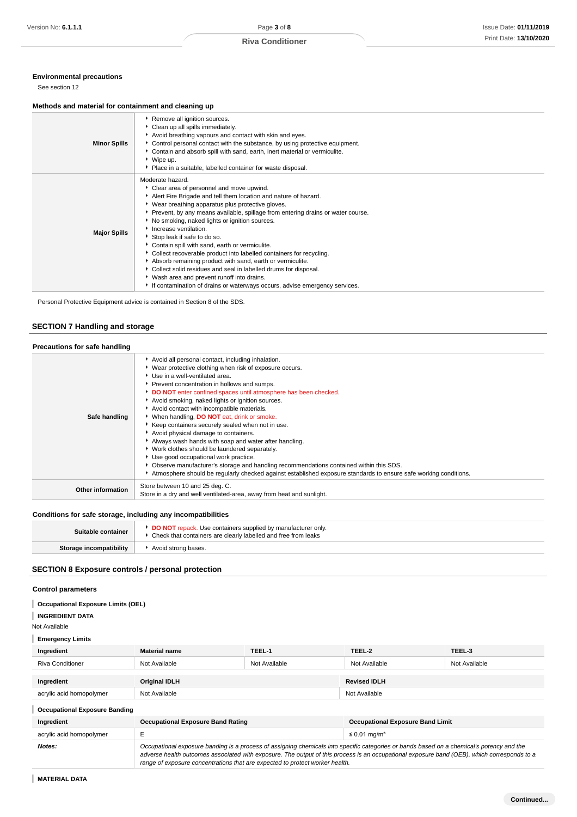## **Environmental precautions**

See section 12

#### **Methods and material for containment and cleaning up**

| <b>Minor Spills</b> | Remove all ignition sources.<br>Clean up all spills immediately.<br>Avoid breathing vapours and contact with skin and eyes.<br>▶ Control personal contact with the substance, by using protective equipment.<br>Contain and absorb spill with sand, earth, inert material or vermiculite.<br>▶ Wipe up.<br>• Place in a suitable, labelled container for waste disposal.                                                                                                                                                                                                                                                                                                                                                                                                    |
|---------------------|-----------------------------------------------------------------------------------------------------------------------------------------------------------------------------------------------------------------------------------------------------------------------------------------------------------------------------------------------------------------------------------------------------------------------------------------------------------------------------------------------------------------------------------------------------------------------------------------------------------------------------------------------------------------------------------------------------------------------------------------------------------------------------|
| <b>Major Spills</b> | Moderate hazard.<br>Clear area of personnel and move upwind.<br>Alert Fire Brigade and tell them location and nature of hazard.<br>▶ Wear breathing apparatus plus protective gloves.<br>▶ Prevent, by any means available, spillage from entering drains or water course.<br>No smoking, naked lights or ignition sources.<br>Increase ventilation.<br>Stop leak if safe to do so.<br>Contain spill with sand, earth or vermiculite.<br>• Collect recoverable product into labelled containers for recycling.<br>Absorb remaining product with sand, earth or vermiculite.<br>Collect solid residues and seal in labelled drums for disposal.<br>▶ Wash area and prevent runoff into drains.<br>If contamination of drains or waterways occurs, advise emergency services. |

Personal Protective Equipment advice is contained in Section 8 of the SDS.

# **SECTION 7 Handling and storage**

## **Precautions for safe handling**

| Safe handling            | Avoid all personal contact, including inhalation.<br>▶ Wear protective clothing when risk of exposure occurs.<br>Use in a well-ventilated area.<br>Prevent concentration in hollows and sumps.<br>DO NOT enter confined spaces until atmosphere has been checked.<br>Avoid smoking, naked lights or ignition sources.<br>Avoid contact with incompatible materials.<br>* When handling, DO NOT eat, drink or smoke.<br>Keep containers securely sealed when not in use.<br>Avoid physical damage to containers.<br>Always wash hands with soap and water after handling.<br>▶ Work clothes should be laundered separately.<br>Use good occupational work practice.<br>• Observe manufacturer's storage and handling recommendations contained within this SDS.<br>Atmosphere should be regularly checked against established exposure standards to ensure safe working conditions. |
|--------------------------|------------------------------------------------------------------------------------------------------------------------------------------------------------------------------------------------------------------------------------------------------------------------------------------------------------------------------------------------------------------------------------------------------------------------------------------------------------------------------------------------------------------------------------------------------------------------------------------------------------------------------------------------------------------------------------------------------------------------------------------------------------------------------------------------------------------------------------------------------------------------------------|
| <b>Other information</b> | Store between 10 and 25 deg. C.<br>Store in a dry and well ventilated-area, away from heat and sunlight.                                                                                                                                                                                                                                                                                                                                                                                                                                                                                                                                                                                                                                                                                                                                                                           |
|                          |                                                                                                                                                                                                                                                                                                                                                                                                                                                                                                                                                                                                                                                                                                                                                                                                                                                                                    |

## **Conditions for safe storage, including any incompatibilities**

| Suitable container      | <b>DO NOT</b> repack. Use containers supplied by manufacturer only.<br>Check that containers are clearly labelled and free from leaks |
|-------------------------|---------------------------------------------------------------------------------------------------------------------------------------|
| Storage incompatibility | Avoid strong bases.                                                                                                                   |

## **SECTION 8 Exposure controls / personal protection**

## **Control parameters**

#### **INGREDIENT DATA**

Not Available

## **Emergency Limits**

| Ingredient               | <b>Material name</b> | TEEL-1        | TEEL-2              | TEEL-3        |
|--------------------------|----------------------|---------------|---------------------|---------------|
| <b>Riva Conditioner</b>  | Not Available        | Not Available | Not Available       | Not Available |
| Ingredient               | <b>Original IDLH</b> |               | <b>Revised IDLH</b> |               |
| acrylic acid homopolymer | Not Available        |               | Not Available       |               |

## **Occupational Exposure Banding**

| Ingredient               | <b>Occupational Exposure Band Rating</b>                                                                                                                                                                                                                                                                                                                                 | <b>Occupational Exposure Band Limit</b> |
|--------------------------|--------------------------------------------------------------------------------------------------------------------------------------------------------------------------------------------------------------------------------------------------------------------------------------------------------------------------------------------------------------------------|-----------------------------------------|
| acrylic acid homopolymer |                                                                                                                                                                                                                                                                                                                                                                          | ≤ 0.01 mg/m <sup>3</sup>                |
| Notes:                   | Occupational exposure banding is a process of assigning chemicals into specific categories or bands based on a chemical's potency and the<br>adverse health outcomes associated with exposure. The output of this process is an occupational exposure band (OEB), which corresponds to a<br>range of exposure concentrations that are expected to protect worker health. |                                         |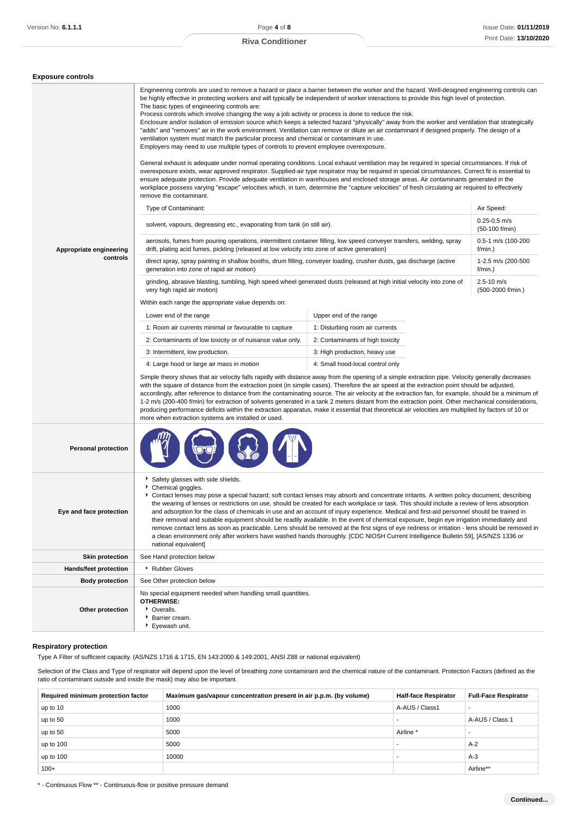| Engineering controls are used to remove a hazard or place a barrier between the worker and the hazard. Well-designed engineering controls can<br>be highly effective in protecting workers and will typically be independent of worker interactions to provide this high level of protection.<br>The basic types of engineering controls are:<br>Process controls which involve changing the way a job activity or process is done to reduce the risk.<br>Enclosure and/or isolation of emission source which keeps a selected hazard "physically" away from the worker and ventilation that strategically<br>"adds" and "removes" air in the work environment. Ventilation can remove or dilute an air contaminant if designed properly. The design of a<br>ventilation system must match the particular process and chemical or contaminant in use.<br>Employers may need to use multiple types of controls to prevent employee overexposure.<br>General exhaust is adequate under normal operating conditions. Local exhaust ventilation may be required in special circumstances. If risk of<br>overexposure exists, wear approved respirator. Supplied-air type respirator may be required in special circumstances. Correct fit is essential to<br>ensure adequate protection. Provide adequate ventilation in warehouses and enclosed storage areas. Air contaminants generated in the<br>workplace possess varying "escape" velocities which, in turn, determine the "capture velocities" of fresh circulating air required to effectively<br>remove the contaminant.<br>Type of Contaminant:<br>Air Speed:<br>$0.25 - 0.5$ m/s<br>solvent, vapours, degreasing etc., evaporating from tank (in still air).<br>(50-100 f/min)<br>aerosols, fumes from pouring operations, intermittent container filling, low speed conveyer transfers, welding, spray<br>0.5-1 m/s (100-200<br>drift, plating acid fumes, pickling (released at low velocity into zone of active generation)<br>$f/min.$ )<br>Appropriate engineering<br>controls<br>direct spray, spray painting in shallow booths, drum filling, conveyer loading, crusher dusts, gas discharge (active<br>1-2.5 m/s (200-500<br>generation into zone of rapid air motion)<br>$f/min.$ )<br>$2.5 - 10$ m/s<br>grinding, abrasive blasting, tumbling, high speed wheel generated dusts (released at high initial velocity into zone of<br>very high rapid air motion)<br>(500-2000 f/min.)<br>Within each range the appropriate value depends on:<br>Upper end of the range<br>Lower end of the range<br>1: Room air currents minimal or favourable to capture<br>1: Disturbing room air currents<br>2: Contaminants of low toxicity or of nuisance value only.<br>2: Contaminants of high toxicity<br>3: Intermittent, low production.<br>3: High production, heavy use<br>4: Large hood or large air mass in motion<br>4: Small hood-local control only<br>Simple theory shows that air velocity falls rapidly with distance away from the opening of a simple extraction pipe. Velocity generally decreases<br>with the square of distance from the extraction point (in simple cases). Therefore the air speed at the extraction point should be adjusted,<br>accordingly, after reference to distance from the contaminating source. The air velocity at the extraction fan, for example, should be a minimum of<br>1-2 m/s (200-400 f/min) for extraction of solvents generated in a tank 2 meters distant from the extraction point. Other mechanical considerations,<br>producing performance deficits within the extraction apparatus, make it essential that theoretical air velocities are multiplied by factors of 10 or<br>more when extraction systems are installed or used.<br><b>Personal protection</b><br>Safety glasses with side shields.<br>Chemical goggles.<br>Contact lenses may pose a special hazard; soft contact lenses may absorb and concentrate irritants. A written policy document, describing<br>the wearing of lenses or restrictions on use, should be created for each workplace or task. This should include a review of lens absorption<br>and adsorption for the class of chemicals in use and an account of injury experience. Medical and first-aid personnel should be trained in<br>Eve and face protection<br>their removal and suitable equipment should be readily available. In the event of chemical exposure, begin eye irrigation immediately and<br>remove contact lens as soon as practicable. Lens should be removed at the first signs of eye redness or irritation - lens should be removed in<br>a clean environment only after workers have washed hands thoroughly. [CDC NIOSH Current Intelligence Bulletin 59], [AS/NZS 1336 or<br>national equivalent]<br><b>Skin protection</b><br>See Hand protection below<br>▶ Rubber Gloves<br>Hands/feet protection<br><b>Body protection</b><br>See Other protection below<br>No special equipment needed when handling small quantities.<br><b>OTHERWISE:</b><br>• Overalls.<br>Other protection<br>Barrier cream.<br>▶ Eyewash unit. |  |  |  |
|--------------------------------------------------------------------------------------------------------------------------------------------------------------------------------------------------------------------------------------------------------------------------------------------------------------------------------------------------------------------------------------------------------------------------------------------------------------------------------------------------------------------------------------------------------------------------------------------------------------------------------------------------------------------------------------------------------------------------------------------------------------------------------------------------------------------------------------------------------------------------------------------------------------------------------------------------------------------------------------------------------------------------------------------------------------------------------------------------------------------------------------------------------------------------------------------------------------------------------------------------------------------------------------------------------------------------------------------------------------------------------------------------------------------------------------------------------------------------------------------------------------------------------------------------------------------------------------------------------------------------------------------------------------------------------------------------------------------------------------------------------------------------------------------------------------------------------------------------------------------------------------------------------------------------------------------------------------------------------------------------------------------------------------------------------------------------------------------------------------------------------------------------------------------------------------------------------------------------------------------------------------------------------------------------------------------------------------------------------------------------------------------------------------------------------------------------------------------------------------------------------------------------------------------------------------------------------------------------------------------------------------------------------------------------------------------------------------------------------------------------------------------------------------------------------------------------------------------------------------------------------------------------------------------------------------------------------------------------------------------------------------------------------------------------------------------------------------------------------------------------------------------------------------------------------------------------------------------------------------------------------------------------------------------------------------------------------------------------------------------------------------------------------------------------------------------------------------------------------------------------------------------------------------------------------------------------------------------------------------------------------------------------------------------------------------------------------------------------------------------------------------------------------------------------------------------------------------------------------------------------------------------------------------------------------------------------------------------------------------------------------------------------------------------------------------------------------------------------------------------------------------------------------------------------------------------------------------------------------------------------------------------------------------------------------------------------------------------------------------------------------------------------------------------------------------------------------------------------------------------------------------------------------------------------------------------------------------------------------------------------------------------------------------------------------------------------------------------------------------------------------------------------------------------------------------------------------------------------------------------------------------------------------------------------------------------------------------------------------------------------------------------------------------------------------------------------------------------------------|--|--|--|
|                                                                                                                                                                                                                                                                                                                                                                                                                                                                                                                                                                                                                                                                                                                                                                                                                                                                                                                                                                                                                                                                                                                                                                                                                                                                                                                                                                                                                                                                                                                                                                                                                                                                                                                                                                                                                                                                                                                                                                                                                                                                                                                                                                                                                                                                                                                                                                                                                                                                                                                                                                                                                                                                                                                                                                                                                                                                                                                                                                                                                                                                                                                                                                                                                                                                                                                                                                                                                                                                                                                                                                                                                                                                                                                                                                                                                                                                                                                                                                                                                                                                                                                                                                                                                                                                                                                                                                                                                                                                                                                                                                                                                                                                                                                                                                                                                                                                                                                                                                                                                                                                                                        |  |  |  |
|                                                                                                                                                                                                                                                                                                                                                                                                                                                                                                                                                                                                                                                                                                                                                                                                                                                                                                                                                                                                                                                                                                                                                                                                                                                                                                                                                                                                                                                                                                                                                                                                                                                                                                                                                                                                                                                                                                                                                                                                                                                                                                                                                                                                                                                                                                                                                                                                                                                                                                                                                                                                                                                                                                                                                                                                                                                                                                                                                                                                                                                                                                                                                                                                                                                                                                                                                                                                                                                                                                                                                                                                                                                                                                                                                                                                                                                                                                                                                                                                                                                                                                                                                                                                                                                                                                                                                                                                                                                                                                                                                                                                                                                                                                                                                                                                                                                                                                                                                                                                                                                                                                        |  |  |  |
|                                                                                                                                                                                                                                                                                                                                                                                                                                                                                                                                                                                                                                                                                                                                                                                                                                                                                                                                                                                                                                                                                                                                                                                                                                                                                                                                                                                                                                                                                                                                                                                                                                                                                                                                                                                                                                                                                                                                                                                                                                                                                                                                                                                                                                                                                                                                                                                                                                                                                                                                                                                                                                                                                                                                                                                                                                                                                                                                                                                                                                                                                                                                                                                                                                                                                                                                                                                                                                                                                                                                                                                                                                                                                                                                                                                                                                                                                                                                                                                                                                                                                                                                                                                                                                                                                                                                                                                                                                                                                                                                                                                                                                                                                                                                                                                                                                                                                                                                                                                                                                                                                                        |  |  |  |
|                                                                                                                                                                                                                                                                                                                                                                                                                                                                                                                                                                                                                                                                                                                                                                                                                                                                                                                                                                                                                                                                                                                                                                                                                                                                                                                                                                                                                                                                                                                                                                                                                                                                                                                                                                                                                                                                                                                                                                                                                                                                                                                                                                                                                                                                                                                                                                                                                                                                                                                                                                                                                                                                                                                                                                                                                                                                                                                                                                                                                                                                                                                                                                                                                                                                                                                                                                                                                                                                                                                                                                                                                                                                                                                                                                                                                                                                                                                                                                                                                                                                                                                                                                                                                                                                                                                                                                                                                                                                                                                                                                                                                                                                                                                                                                                                                                                                                                                                                                                                                                                                                                        |  |  |  |
|                                                                                                                                                                                                                                                                                                                                                                                                                                                                                                                                                                                                                                                                                                                                                                                                                                                                                                                                                                                                                                                                                                                                                                                                                                                                                                                                                                                                                                                                                                                                                                                                                                                                                                                                                                                                                                                                                                                                                                                                                                                                                                                                                                                                                                                                                                                                                                                                                                                                                                                                                                                                                                                                                                                                                                                                                                                                                                                                                                                                                                                                                                                                                                                                                                                                                                                                                                                                                                                                                                                                                                                                                                                                                                                                                                                                                                                                                                                                                                                                                                                                                                                                                                                                                                                                                                                                                                                                                                                                                                                                                                                                                                                                                                                                                                                                                                                                                                                                                                                                                                                                                                        |  |  |  |
|                                                                                                                                                                                                                                                                                                                                                                                                                                                                                                                                                                                                                                                                                                                                                                                                                                                                                                                                                                                                                                                                                                                                                                                                                                                                                                                                                                                                                                                                                                                                                                                                                                                                                                                                                                                                                                                                                                                                                                                                                                                                                                                                                                                                                                                                                                                                                                                                                                                                                                                                                                                                                                                                                                                                                                                                                                                                                                                                                                                                                                                                                                                                                                                                                                                                                                                                                                                                                                                                                                                                                                                                                                                                                                                                                                                                                                                                                                                                                                                                                                                                                                                                                                                                                                                                                                                                                                                                                                                                                                                                                                                                                                                                                                                                                                                                                                                                                                                                                                                                                                                                                                        |  |  |  |
|                                                                                                                                                                                                                                                                                                                                                                                                                                                                                                                                                                                                                                                                                                                                                                                                                                                                                                                                                                                                                                                                                                                                                                                                                                                                                                                                                                                                                                                                                                                                                                                                                                                                                                                                                                                                                                                                                                                                                                                                                                                                                                                                                                                                                                                                                                                                                                                                                                                                                                                                                                                                                                                                                                                                                                                                                                                                                                                                                                                                                                                                                                                                                                                                                                                                                                                                                                                                                                                                                                                                                                                                                                                                                                                                                                                                                                                                                                                                                                                                                                                                                                                                                                                                                                                                                                                                                                                                                                                                                                                                                                                                                                                                                                                                                                                                                                                                                                                                                                                                                                                                                                        |  |  |  |
|                                                                                                                                                                                                                                                                                                                                                                                                                                                                                                                                                                                                                                                                                                                                                                                                                                                                                                                                                                                                                                                                                                                                                                                                                                                                                                                                                                                                                                                                                                                                                                                                                                                                                                                                                                                                                                                                                                                                                                                                                                                                                                                                                                                                                                                                                                                                                                                                                                                                                                                                                                                                                                                                                                                                                                                                                                                                                                                                                                                                                                                                                                                                                                                                                                                                                                                                                                                                                                                                                                                                                                                                                                                                                                                                                                                                                                                                                                                                                                                                                                                                                                                                                                                                                                                                                                                                                                                                                                                                                                                                                                                                                                                                                                                                                                                                                                                                                                                                                                                                                                                                                                        |  |  |  |
|                                                                                                                                                                                                                                                                                                                                                                                                                                                                                                                                                                                                                                                                                                                                                                                                                                                                                                                                                                                                                                                                                                                                                                                                                                                                                                                                                                                                                                                                                                                                                                                                                                                                                                                                                                                                                                                                                                                                                                                                                                                                                                                                                                                                                                                                                                                                                                                                                                                                                                                                                                                                                                                                                                                                                                                                                                                                                                                                                                                                                                                                                                                                                                                                                                                                                                                                                                                                                                                                                                                                                                                                                                                                                                                                                                                                                                                                                                                                                                                                                                                                                                                                                                                                                                                                                                                                                                                                                                                                                                                                                                                                                                                                                                                                                                                                                                                                                                                                                                                                                                                                                                        |  |  |  |
|                                                                                                                                                                                                                                                                                                                                                                                                                                                                                                                                                                                                                                                                                                                                                                                                                                                                                                                                                                                                                                                                                                                                                                                                                                                                                                                                                                                                                                                                                                                                                                                                                                                                                                                                                                                                                                                                                                                                                                                                                                                                                                                                                                                                                                                                                                                                                                                                                                                                                                                                                                                                                                                                                                                                                                                                                                                                                                                                                                                                                                                                                                                                                                                                                                                                                                                                                                                                                                                                                                                                                                                                                                                                                                                                                                                                                                                                                                                                                                                                                                                                                                                                                                                                                                                                                                                                                                                                                                                                                                                                                                                                                                                                                                                                                                                                                                                                                                                                                                                                                                                                                                        |  |  |  |
|                                                                                                                                                                                                                                                                                                                                                                                                                                                                                                                                                                                                                                                                                                                                                                                                                                                                                                                                                                                                                                                                                                                                                                                                                                                                                                                                                                                                                                                                                                                                                                                                                                                                                                                                                                                                                                                                                                                                                                                                                                                                                                                                                                                                                                                                                                                                                                                                                                                                                                                                                                                                                                                                                                                                                                                                                                                                                                                                                                                                                                                                                                                                                                                                                                                                                                                                                                                                                                                                                                                                                                                                                                                                                                                                                                                                                                                                                                                                                                                                                                                                                                                                                                                                                                                                                                                                                                                                                                                                                                                                                                                                                                                                                                                                                                                                                                                                                                                                                                                                                                                                                                        |  |  |  |
|                                                                                                                                                                                                                                                                                                                                                                                                                                                                                                                                                                                                                                                                                                                                                                                                                                                                                                                                                                                                                                                                                                                                                                                                                                                                                                                                                                                                                                                                                                                                                                                                                                                                                                                                                                                                                                                                                                                                                                                                                                                                                                                                                                                                                                                                                                                                                                                                                                                                                                                                                                                                                                                                                                                                                                                                                                                                                                                                                                                                                                                                                                                                                                                                                                                                                                                                                                                                                                                                                                                                                                                                                                                                                                                                                                                                                                                                                                                                                                                                                                                                                                                                                                                                                                                                                                                                                                                                                                                                                                                                                                                                                                                                                                                                                                                                                                                                                                                                                                                                                                                                                                        |  |  |  |
|                                                                                                                                                                                                                                                                                                                                                                                                                                                                                                                                                                                                                                                                                                                                                                                                                                                                                                                                                                                                                                                                                                                                                                                                                                                                                                                                                                                                                                                                                                                                                                                                                                                                                                                                                                                                                                                                                                                                                                                                                                                                                                                                                                                                                                                                                                                                                                                                                                                                                                                                                                                                                                                                                                                                                                                                                                                                                                                                                                                                                                                                                                                                                                                                                                                                                                                                                                                                                                                                                                                                                                                                                                                                                                                                                                                                                                                                                                                                                                                                                                                                                                                                                                                                                                                                                                                                                                                                                                                                                                                                                                                                                                                                                                                                                                                                                                                                                                                                                                                                                                                                                                        |  |  |  |
|                                                                                                                                                                                                                                                                                                                                                                                                                                                                                                                                                                                                                                                                                                                                                                                                                                                                                                                                                                                                                                                                                                                                                                                                                                                                                                                                                                                                                                                                                                                                                                                                                                                                                                                                                                                                                                                                                                                                                                                                                                                                                                                                                                                                                                                                                                                                                                                                                                                                                                                                                                                                                                                                                                                                                                                                                                                                                                                                                                                                                                                                                                                                                                                                                                                                                                                                                                                                                                                                                                                                                                                                                                                                                                                                                                                                                                                                                                                                                                                                                                                                                                                                                                                                                                                                                                                                                                                                                                                                                                                                                                                                                                                                                                                                                                                                                                                                                                                                                                                                                                                                                                        |  |  |  |
|                                                                                                                                                                                                                                                                                                                                                                                                                                                                                                                                                                                                                                                                                                                                                                                                                                                                                                                                                                                                                                                                                                                                                                                                                                                                                                                                                                                                                                                                                                                                                                                                                                                                                                                                                                                                                                                                                                                                                                                                                                                                                                                                                                                                                                                                                                                                                                                                                                                                                                                                                                                                                                                                                                                                                                                                                                                                                                                                                                                                                                                                                                                                                                                                                                                                                                                                                                                                                                                                                                                                                                                                                                                                                                                                                                                                                                                                                                                                                                                                                                                                                                                                                                                                                                                                                                                                                                                                                                                                                                                                                                                                                                                                                                                                                                                                                                                                                                                                                                                                                                                                                                        |  |  |  |
|                                                                                                                                                                                                                                                                                                                                                                                                                                                                                                                                                                                                                                                                                                                                                                                                                                                                                                                                                                                                                                                                                                                                                                                                                                                                                                                                                                                                                                                                                                                                                                                                                                                                                                                                                                                                                                                                                                                                                                                                                                                                                                                                                                                                                                                                                                                                                                                                                                                                                                                                                                                                                                                                                                                                                                                                                                                                                                                                                                                                                                                                                                                                                                                                                                                                                                                                                                                                                                                                                                                                                                                                                                                                                                                                                                                                                                                                                                                                                                                                                                                                                                                                                                                                                                                                                                                                                                                                                                                                                                                                                                                                                                                                                                                                                                                                                                                                                                                                                                                                                                                                                                        |  |  |  |
|                                                                                                                                                                                                                                                                                                                                                                                                                                                                                                                                                                                                                                                                                                                                                                                                                                                                                                                                                                                                                                                                                                                                                                                                                                                                                                                                                                                                                                                                                                                                                                                                                                                                                                                                                                                                                                                                                                                                                                                                                                                                                                                                                                                                                                                                                                                                                                                                                                                                                                                                                                                                                                                                                                                                                                                                                                                                                                                                                                                                                                                                                                                                                                                                                                                                                                                                                                                                                                                                                                                                                                                                                                                                                                                                                                                                                                                                                                                                                                                                                                                                                                                                                                                                                                                                                                                                                                                                                                                                                                                                                                                                                                                                                                                                                                                                                                                                                                                                                                                                                                                                                                        |  |  |  |
|                                                                                                                                                                                                                                                                                                                                                                                                                                                                                                                                                                                                                                                                                                                                                                                                                                                                                                                                                                                                                                                                                                                                                                                                                                                                                                                                                                                                                                                                                                                                                                                                                                                                                                                                                                                                                                                                                                                                                                                                                                                                                                                                                                                                                                                                                                                                                                                                                                                                                                                                                                                                                                                                                                                                                                                                                                                                                                                                                                                                                                                                                                                                                                                                                                                                                                                                                                                                                                                                                                                                                                                                                                                                                                                                                                                                                                                                                                                                                                                                                                                                                                                                                                                                                                                                                                                                                                                                                                                                                                                                                                                                                                                                                                                                                                                                                                                                                                                                                                                                                                                                                                        |  |  |  |
|                                                                                                                                                                                                                                                                                                                                                                                                                                                                                                                                                                                                                                                                                                                                                                                                                                                                                                                                                                                                                                                                                                                                                                                                                                                                                                                                                                                                                                                                                                                                                                                                                                                                                                                                                                                                                                                                                                                                                                                                                                                                                                                                                                                                                                                                                                                                                                                                                                                                                                                                                                                                                                                                                                                                                                                                                                                                                                                                                                                                                                                                                                                                                                                                                                                                                                                                                                                                                                                                                                                                                                                                                                                                                                                                                                                                                                                                                                                                                                                                                                                                                                                                                                                                                                                                                                                                                                                                                                                                                                                                                                                                                                                                                                                                                                                                                                                                                                                                                                                                                                                                                                        |  |  |  |

## **Respiratory protection**

Type A Filter of sufficient capacity. (AS/NZS 1716 & 1715, EN 143:2000 & 149:2001, ANSI Z88 or national equivalent)

Selection of the Class and Type of respirator will depend upon the level of breathing zone contaminant and the chemical nature of the contaminant. Protection Factors (defined as the ratio of contaminant outside and inside the mask) may also be important.

| Required minimum protection factor | Maximum gas/vapour concentration present in air p.p.m. (by volume) | <b>Half-face Respirator</b> | <b>Full-Face Respirator</b> |
|------------------------------------|--------------------------------------------------------------------|-----------------------------|-----------------------------|
| up to 10                           | 1000                                                               | A-AUS / Class1              |                             |
| up to 50                           | 1000                                                               |                             | A-AUS / Class 1             |
| up to 50                           | 5000                                                               | Airline <sup>*</sup>        |                             |
| up to 100                          | 5000                                                               |                             | $A-2$                       |
| up to 100                          | 10000                                                              |                             | $A-3$                       |
| $100+$                             |                                                                    |                             | Airline**                   |

\* - Continuous Flow \*\* - Continuous-flow or positive pressure demand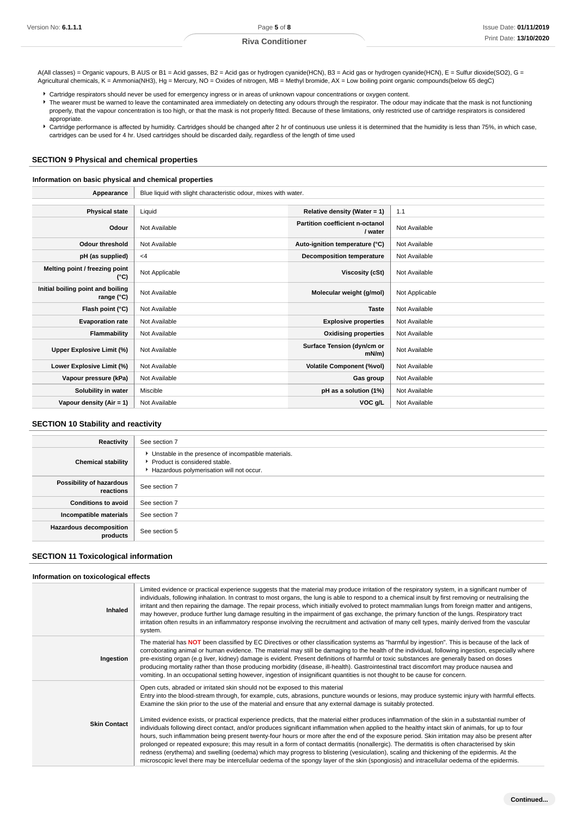A(All classes) = Organic vapours, B AUS or B1 = Acid gasses, B2 = Acid gas or hydrogen cyanide(HCN), B3 = Acid gas or hydrogen cyanide(HCN), E = Sulfur dioxide(SO2), G = Agricultural chemicals, K = Ammonia(NH3), Hg = Mercury, NO = Oxides of nitrogen, MB = Methyl bromide, AX = Low boiling point organic compounds(below 65 degC)

Cartridge respirators should never be used for emergency ingress or in areas of unknown vapour concentrations or oxygen content.

The wearer must be warned to leave the contaminated area immediately on detecting any odours through the respirator. The odour may indicate that the mask is not functioning properly, that the vapour concentration is too high, or that the mask is not properly fitted. Because of these limitations, only restricted use of cartridge respirators is considered appropriate.

Cartridge performance is affected by humidity. Cartridges should be changed after 2 hr of continuous use unless it is determined that the humidity is less than 75%, in which case, cartridges can be used for 4 hr. Used cartridges should be discarded daily, regardless of the length of time used

### **SECTION 9 Physical and chemical properties**

#### **Information on basic physical and chemical properties**

| Appearance                                      | Blue liquid with slight characteristic odour, mixes with water. |                                            |                |
|-------------------------------------------------|-----------------------------------------------------------------|--------------------------------------------|----------------|
|                                                 |                                                                 |                                            |                |
| <b>Physical state</b>                           | Liquid                                                          | Relative density (Water = $1$ )            | 1.1            |
| Odour                                           | Not Available                                                   | Partition coefficient n-octanol<br>/ water | Not Available  |
| <b>Odour threshold</b>                          | Not Available                                                   | Auto-ignition temperature (°C)             | Not Available  |
| pH (as supplied)                                | $<$ 4                                                           | <b>Decomposition temperature</b>           | Not Available  |
| Melting point / freezing point<br>(°C)          | Not Applicable                                                  | Viscosity (cSt)                            | Not Available  |
| Initial boiling point and boiling<br>range (°C) | Not Available                                                   | Molecular weight (g/mol)                   | Not Applicable |
| Flash point (°C)                                | Not Available                                                   | <b>Taste</b>                               | Not Available  |
| <b>Evaporation rate</b>                         | Not Available                                                   | <b>Explosive properties</b>                | Not Available  |
| <b>Flammability</b>                             | Not Available                                                   | <b>Oxidising properties</b>                | Not Available  |
| Upper Explosive Limit (%)                       | Not Available                                                   | Surface Tension (dyn/cm or<br>$mN/m$ )     | Not Available  |
| Lower Explosive Limit (%)                       | Not Available                                                   | <b>Volatile Component (%vol)</b>           | Not Available  |
| Vapour pressure (kPa)                           | Not Available                                                   | Gas group                                  | Not Available  |
| Solubility in water                             | Miscible                                                        | pH as a solution (1%)                      | Not Available  |
| Vapour density (Air = 1)                        | Not Available                                                   | VOC g/L                                    | Not Available  |

## **SECTION 10 Stability and reactivity**

| Reactivity                                 | See section 7                                                                                                                        |
|--------------------------------------------|--------------------------------------------------------------------------------------------------------------------------------------|
| <b>Chemical stability</b>                  | • Unstable in the presence of incompatible materials.<br>▶ Product is considered stable.<br>Hazardous polymerisation will not occur. |
| Possibility of hazardous<br>reactions      | See section 7                                                                                                                        |
| <b>Conditions to avoid</b>                 | See section 7                                                                                                                        |
| Incompatible materials                     | See section 7                                                                                                                        |
| <b>Hazardous decomposition</b><br>products | See section 5                                                                                                                        |

## **SECTION 11 Toxicological information**

### **Information on toxicological effects**

| Inhaled             | Limited evidence or practical experience suggests that the material may produce irritation of the respiratory system, in a significant number of<br>individuals, following inhalation. In contrast to most organs, the lung is able to respond to a chemical insult by first removing or neutralising the<br>irritant and then repairing the damage. The repair process, which initially evolved to protect mammalian lungs from foreign matter and antigens,<br>may however, produce further lung damage resulting in the impairment of gas exchange, the primary function of the lungs. Respiratory tract<br>irritation often results in an inflammatory response involving the recruitment and activation of many cell types, mainly derived from the vascular<br>system.                                                                                                                                                                                                                                                                                                                                                                                                                                                                             |
|---------------------|----------------------------------------------------------------------------------------------------------------------------------------------------------------------------------------------------------------------------------------------------------------------------------------------------------------------------------------------------------------------------------------------------------------------------------------------------------------------------------------------------------------------------------------------------------------------------------------------------------------------------------------------------------------------------------------------------------------------------------------------------------------------------------------------------------------------------------------------------------------------------------------------------------------------------------------------------------------------------------------------------------------------------------------------------------------------------------------------------------------------------------------------------------------------------------------------------------------------------------------------------------|
| Ingestion           | The material has NOT been classified by EC Directives or other classification systems as "harmful by ingestion". This is because of the lack of<br>corroborating animal or human evidence. The material may still be damaging to the health of the individual, following ingestion, especially where<br>pre-existing organ (e.g liver, kidney) damage is evident. Present definitions of harmful or toxic substances are generally based on doses<br>producing mortality rather than those producing morbidity (disease, ill-health). Gastrointestinal tract discomfort may produce nausea and<br>vomiting. In an occupational setting however, ingestion of insignificant quantities is not thought to be cause for concern.                                                                                                                                                                                                                                                                                                                                                                                                                                                                                                                            |
| <b>Skin Contact</b> | Open cuts, abraded or irritated skin should not be exposed to this material<br>Entry into the blood-stream through, for example, cuts, abrasions, puncture wounds or lesions, may produce systemic injury with harmful effects.<br>Examine the skin prior to the use of the material and ensure that any external damage is suitably protected.<br>Limited evidence exists, or practical experience predicts, that the material either produces inflammation of the skin in a substantial number of<br>individuals following direct contact, and/or produces significant inflammation when applied to the healthy intact skin of animals, for up to four<br>hours, such inflammation being present twenty-four hours or more after the end of the exposure period. Skin irritation may also be present after<br>prolonged or repeated exposure; this may result in a form of contact dermatitis (nonallergic). The dermatitis is often characterised by skin<br>redness (erythema) and swelling (oedema) which may progress to blistering (vesiculation), scaling and thickening of the epidermis. At the<br>microscopic level there may be intercellular oedema of the spongy layer of the skin (spongiosis) and intracellular oedema of the epidermis. |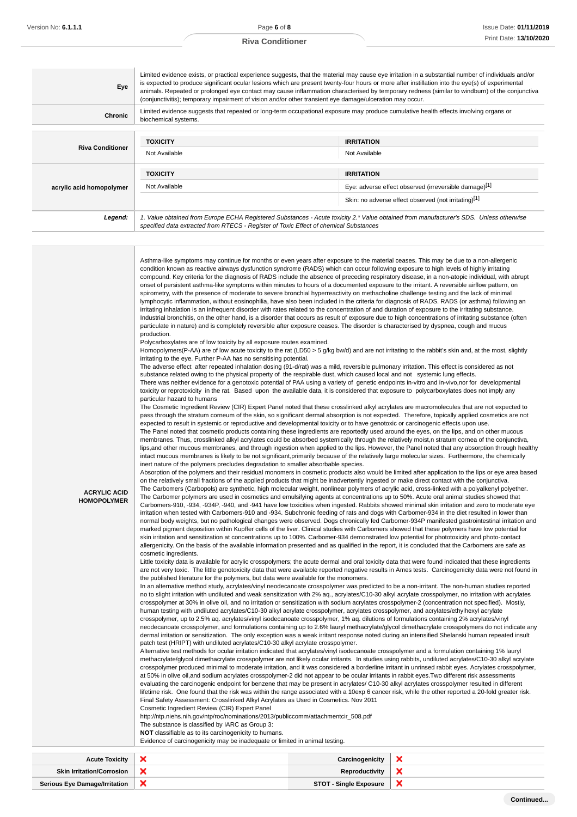Г

## **Riva Conditioner**

| Eye                      | Limited evidence exists, or practical experience suggests, that the material may cause eye irritation in a substantial number of individuals and/or<br>is expected to produce significant ocular lesions which are present twenty-four hours or more after instillation into the eye(s) of experimental<br>animals. Repeated or prolonged eye contact may cause inflammation characterised by temporary redness (similar to windburn) of the conjunctiva<br>(conjunctivitis); temporary impairment of vision and/or other transient eye damage/ulceration may occur. |                                                       |  |
|--------------------------|----------------------------------------------------------------------------------------------------------------------------------------------------------------------------------------------------------------------------------------------------------------------------------------------------------------------------------------------------------------------------------------------------------------------------------------------------------------------------------------------------------------------------------------------------------------------|-------------------------------------------------------|--|
| Chronic                  | Limited evidence suggests that repeated or long-term occupational exposure may produce cumulative health effects involving organs or<br>biochemical systems.                                                                                                                                                                                                                                                                                                                                                                                                         |                                                       |  |
|                          |                                                                                                                                                                                                                                                                                                                                                                                                                                                                                                                                                                      |                                                       |  |
| <b>Riva Conditioner</b>  | <b>TOXICITY</b>                                                                                                                                                                                                                                                                                                                                                                                                                                                                                                                                                      | <b>IRRITATION</b>                                     |  |
|                          | Not Available                                                                                                                                                                                                                                                                                                                                                                                                                                                                                                                                                        | Not Available                                         |  |
|                          | <b>TOXICITY</b>                                                                                                                                                                                                                                                                                                                                                                                                                                                                                                                                                      | <b>IRRITATION</b>                                     |  |
| acrylic acid homopolymer | Not Available                                                                                                                                                                                                                                                                                                                                                                                                                                                                                                                                                        | Eye: adverse effect observed (irreversible damage)[1] |  |
|                          |                                                                                                                                                                                                                                                                                                                                                                                                                                                                                                                                                                      | Skin: no adverse effect observed (not irritating)[1]  |  |
| Legend:                  | 1. Value obtained from Europe ECHA Registered Substances - Acute toxicity 2.* Value obtained from manufacturer's SDS. Unless otherwise<br>specified data extracted from RTECS - Register of Toxic Effect of chemical Substances                                                                                                                                                                                                                                                                                                                                      |                                                       |  |

|                     | crosspolymer produced minimal to moderate irritation, and it was considered a borderline irritant in unrinsed rabbit eyes. Acrylates crosspolymer,<br>at 50% in olive oil, and sodium acrylates crosspolymer-2 did not appear to be ocular irritants in rabbit eyes. Two different risk assessments<br>evaluating the carcinogenic endpoint for benzene that may be present in acrylates/C10-30 alkyl acrylates crosspolymer resulted in different<br>lifetime risk. One found that the risk was within the range associated with a 10exp 6 cancer risk, while the other reported a 20-fold greater risk.                                                                                                                                                                                                                                                                                                                                                                                                                                                              |                                                                                                                                                                                                                                                                                                                                                                                                                                                    |                                                                                                                                                      |  |
|---------------------|------------------------------------------------------------------------------------------------------------------------------------------------------------------------------------------------------------------------------------------------------------------------------------------------------------------------------------------------------------------------------------------------------------------------------------------------------------------------------------------------------------------------------------------------------------------------------------------------------------------------------------------------------------------------------------------------------------------------------------------------------------------------------------------------------------------------------------------------------------------------------------------------------------------------------------------------------------------------------------------------------------------------------------------------------------------------|----------------------------------------------------------------------------------------------------------------------------------------------------------------------------------------------------------------------------------------------------------------------------------------------------------------------------------------------------------------------------------------------------------------------------------------------------|------------------------------------------------------------------------------------------------------------------------------------------------------|--|
|                     | neodecanoate crosspolymer, and formulations containing up to 2.6% lauryl methacrylate/glycol dimethacrylate crosspolymers do not indicate any<br>dermal irritation or sensitization. The only exception was a weak irritant response noted during an intensified Shelanski human repeated insult<br>patch test (HRIPT) with undiluted acrylates/C10-30 alkyl acrylate crosspolymer.<br>Alternative test methods for ocular irritation indicated that acrylates/vinyl isodecanoate crosspolymer and a formulation containing 1% lauryl<br>methacrylate/glycol dimethacrylate crosspolymer are not likely ocular irritants. In studies using rabbits, undiluted acrylates/C10-30 alkyl acrylate                                                                                                                                                                                                                                                                                                                                                                          |                                                                                                                                                                                                                                                                                                                                                                                                                                                    |                                                                                                                                                      |  |
|                     | no to slight irritation with undiluted and weak sensitization with 2% aq., acrylates/C10-30 alkyl acrylate crosspolymer, no irritation with acrylates<br>crosspolymer at 30% in olive oil, and no irritation or sensitization with sodium acrylates crosspolymer-2 (concentration not specified). Mostly,<br>human testing with undiluted acrylates/C10-30 alkyl acrylate crosspolymer, acrylates crosspolymer, and acrylates/ethylhexyl acrylate<br>crosspolymer, up to 2.5% aq. acrylates/vinyl isodecanoate crosspolymer, 1% aq. dilutions of formulations containing 2% acrylates/vinyl                                                                                                                                                                                                                                                                                                                                                                                                                                                                            |                                                                                                                                                                                                                                                                                                                                                                                                                                                    |                                                                                                                                                      |  |
|                     | Little toxicity data is available for acrylic crosspolymers; the acute dermal and oral toxicity data that were found indicated that these ingredients<br>the published literature for the polymers, but data were available for the monomers.<br>In an alternative method study, acrylates/vinyl neodecanoate crosspolymer was predicted to be a non-irritant. The non-human studies reported                                                                                                                                                                                                                                                                                                                                                                                                                                                                                                                                                                                                                                                                          |                                                                                                                                                                                                                                                                                                                                                                                                                                                    | are not very toxic. The little genotoxicity data that were available reported negative results in Ames tests. Carcinogenicity data were not found in |  |
|                     | The Carbomer polymers are used in cosmetics and emulsifying agents at concentrations up to 50%. Acute oral animal studies showed that<br>Carbomers-910, -934, -934P, -940, and -941 have low toxicities when ingested. Rabbits showed minimal skin irritation and zero to moderate eye<br>irritation when tested with Carbomers-910 and -934. Subchronic feeding of rats and dogs with Carbomer-934 in the diet resulted in lower than<br>normal body weights, but no pathological changes were observed. Dogs chronically fed Carbomer-934P manifested gastrointestinal irritation and<br>marked pigment deposition within Kupffer cells of the liver. Clinical studies with Carbomers showed that these polymers have low potential for<br>skin irritation and sensitization at concentrations up to 100%. Carbomer-934 demonstrated low potential for phototoxicity and photo-contact<br>allergenicity. On the basis of the available information presented and as qualified in the report, it is concluded that the Carbomers are safe as<br>cosmetic ingredients. |                                                                                                                                                                                                                                                                                                                                                                                                                                                    |                                                                                                                                                      |  |
| <b>HOMOPOLYMER</b>  |                                                                                                                                                                                                                                                                                                                                                                                                                                                                                                                                                                                                                                                                                                                                                                                                                                                                                                                                                                                                                                                                        |                                                                                                                                                                                                                                                                                                                                                                                                                                                    |                                                                                                                                                      |  |
| <b>ACRYLIC ACID</b> |                                                                                                                                                                                                                                                                                                                                                                                                                                                                                                                                                                                                                                                                                                                                                                                                                                                                                                                                                                                                                                                                        | Absorption of the polymers and their residual monomers in cosmetic products also would be limited after application to the lips or eye area based<br>on the relatively small fractions of the applied products that might be inadvertently ingested or make direct contact with the conjunctiva.<br>The Carbomers (Carbopols) are synthetic, high molecular weight, nonlinear polymers of acrylic acid, cross-linked with a polyalkenyl polyether. |                                                                                                                                                      |  |
|                     | intact mucous membranes is likely to be not significant, primarily because of the relatively large molecular sizes. Furthermore, the chemically<br>inert nature of the polymers precludes degradation to smaller absorbable species.                                                                                                                                                                                                                                                                                                                                                                                                                                                                                                                                                                                                                                                                                                                                                                                                                                   |                                                                                                                                                                                                                                                                                                                                                                                                                                                    | lips, and other mucous membranes, and through ingestion when applied to the lips. However, the Panel noted that any absorption through healthy       |  |
|                     | pass through the stratum corneum of the skin, so significant dermal absorption is not expected. Therefore, topically applied cosmetics are not<br>expected to result in systemic or reproductive and developmental toxicity or to have genotoxic or carcinogenic effects upon use.<br>The Panel noted that cosmetic products containing these ingredients are reportedly used around the eyes, on the lips, and on other mucous<br>membranes. Thus, crosslinked alkyl acrylates could be absorbed systemically through the relatively moist, n stratum cornea of the conjunctiva,                                                                                                                                                                                                                                                                                                                                                                                                                                                                                      |                                                                                                                                                                                                                                                                                                                                                                                                                                                    |                                                                                                                                                      |  |
|                     | toxicity or reprotoxicity in the rat. Based upon the available data, it is considered that exposure to polycarboxylates does not imply any<br>particular hazard to humans<br>The Cosmetic Ingredient Review (CIR) Expert Panel noted that these crosslinked alkyl acrylates are macromolecules that are not expected to                                                                                                                                                                                                                                                                                                                                                                                                                                                                                                                                                                                                                                                                                                                                                |                                                                                                                                                                                                                                                                                                                                                                                                                                                    |                                                                                                                                                      |  |
|                     | The adverse effect after repeated inhalation dosing (91-d/rat) was a mild, reversible pulmonary irritation. This effect is considered as not<br>substance related owing to the physical property of the respirable dust, which caused local and not systemic lung effects.<br>There was neither evidence for a genotoxic potential of PAA using a variety of genetic endpoints in-vitro and in-vivo,nor for developmental                                                                                                                                                                                                                                                                                                                                                                                                                                                                                                                                                                                                                                              |                                                                                                                                                                                                                                                                                                                                                                                                                                                    |                                                                                                                                                      |  |
|                     | Polycarboxylates are of low toxicity by all exposure routes examined.<br>Homopolymers(P-AA) are of low acute toxicity to the rat (LD50 > 5 g/kg bw/d) and are not irritating to the rabbit's skin and, at the most, slightly<br>irritating to the eye. Further P-AA has no sensitising potential.                                                                                                                                                                                                                                                                                                                                                                                                                                                                                                                                                                                                                                                                                                                                                                      |                                                                                                                                                                                                                                                                                                                                                                                                                                                    |                                                                                                                                                      |  |
|                     | lymphocytic inflammation, without eosinophilia, have also been included in the criteria for diagnosis of RADS. RADS (or asthma) following an<br>irritating inhalation is an infrequent disorder with rates related to the concentration of and duration of exposure to the irritating substance.<br>Industrial bronchitis, on the other hand, is a disorder that occurs as result of exposure due to high concentrations of irritating substance (often<br>particulate in nature) and is completely reversible after exposure ceases. The disorder is characterised by dyspnea, cough and mucus<br>production.                                                                                                                                                                                                                                                                                                                                                                                                                                                         |                                                                                                                                                                                                                                                                                                                                                                                                                                                    |                                                                                                                                                      |  |
|                     | spirometry, with the presence of moderate to severe bronchial hyperreactivity on methacholine challenge testing and the lack of minimal                                                                                                                                                                                                                                                                                                                                                                                                                                                                                                                                                                                                                                                                                                                                                                                                                                                                                                                                |                                                                                                                                                                                                                                                                                                                                                                                                                                                    |                                                                                                                                                      |  |
|                     | Asthma-like symptoms may continue for months or even years after exposure to the material ceases. This may be due to a non-allergenic<br>condition known as reactive airways dysfunction syndrome (RADS) which can occur following exposure to high levels of highly irritating<br>compound. Key criteria for the diagnosis of RADS include the absence of preceding respiratory disease, in a non-atopic individual, with abrupt<br>onset of persistent asthma-like symptoms within minutes to hours of a documented exposure to the irritant. A reversible airflow pattern, on                                                                                                                                                                                                                                                                                                                                                                                                                                                                                       |                                                                                                                                                                                                                                                                                                                                                                                                                                                    |                                                                                                                                                      |  |

**Serious Eye Damage/Irritation X STOT** - Single Exposure

 $\bar{\textbf{x}}$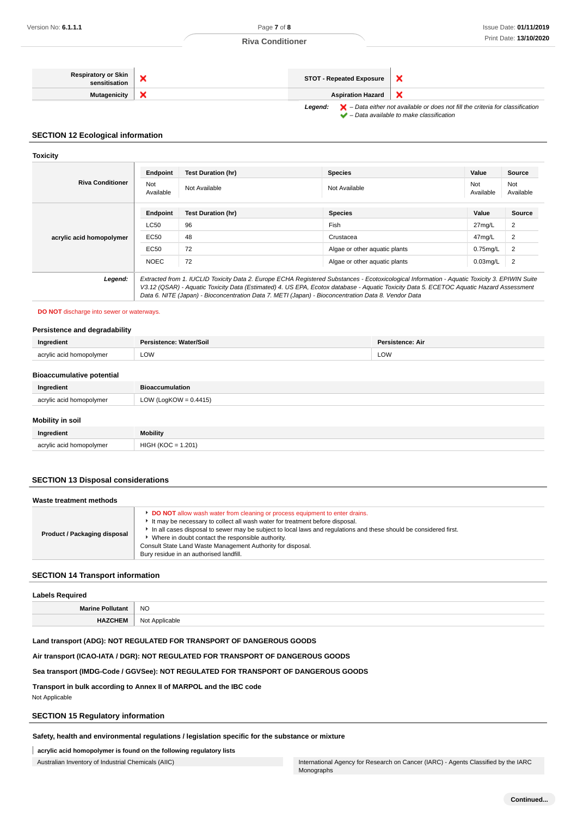| <b>Respiratory or Skin</b><br>sensitisation |                                                                                                                                                                                | <b>STOT - Repeated Exposure</b> |  |
|---------------------------------------------|--------------------------------------------------------------------------------------------------------------------------------------------------------------------------------|---------------------------------|--|
| Mutagenicity                                |                                                                                                                                                                                | <b>Aspiration Hazard</b>        |  |
|                                             | $\blacktriangleright$ – Data either not available or does not fill the criteria for classification<br>Leaend:<br>$\blacktriangleright$ - Data available to make classification |                                 |  |

### **SECTION 12 Ecological information**

#### **Toxicity**

|                          | Endpoint                                                                                                                                                                                                                                       | <b>Test Duration (hr)</b> | <b>Species</b>                | Value            | Source           |
|--------------------------|------------------------------------------------------------------------------------------------------------------------------------------------------------------------------------------------------------------------------------------------|---------------------------|-------------------------------|------------------|------------------|
| <b>Riva Conditioner</b>  | Not<br>Available                                                                                                                                                                                                                               | Not Available             | Not Available                 | Not<br>Available | Not<br>Available |
|                          | Endpoint                                                                                                                                                                                                                                       | <b>Test Duration (hr)</b> | <b>Species</b>                | Value            | <b>Source</b>    |
| acrylic acid homopolymer | <b>LC50</b>                                                                                                                                                                                                                                    | 96                        | Fish                          | 27mg/L           | 2                |
|                          | EC50                                                                                                                                                                                                                                           | 48                        | Crustacea                     | 47mg/L           | 2                |
|                          | EC50                                                                                                                                                                                                                                           | 72                        | Algae or other aquatic plants | $0.75$ mg/L      | $\overline{2}$   |
|                          | <b>NOEC</b>                                                                                                                                                                                                                                    | 72                        | Algae or other aquatic plants | $0.03$ mg/L      | 2                |
| Legend:                  | Extracted from 1. IUCLID Toxicity Data 2. Europe ECHA Registered Substances - Ecotoxicological Information - Aquatic Toxicity 3. EPIWIN Suite                                                                                                  |                           |                               |                  |                  |
|                          | V3.12 (QSAR) - Aquatic Toxicity Data (Estimated) 4. US EPA, Ecotox database - Aquatic Toxicity Data 5. ECETOC Aquatic Hazard Assessment<br>Data 6. NITE (Japan) - Bioconcentration Data 7. METI (Japan) - Bioconcentration Data 8. Vendor Data |                           |                               |                  |                  |

## **DO NOT** discharge into sewer or waterways.

#### **Persistence and degradability**

| Ingredient               | Persistence: Water/Soil | Persistence: Air<br>the contract of the contract of |
|--------------------------|-------------------------|-----------------------------------------------------|
| acrylic acid homopolymer | LOW                     | LOW                                                 |

#### **Bioaccumulative potential**

| Ingredient               | <b>Bioaccumulation</b>   |
|--------------------------|--------------------------|
| acrylic acid homopolymer | LOW (LogKOW = $0.4415$ ) |

## **Mobility in soil**

| Ingredient               | <b>Mobility</b>  |
|--------------------------|------------------|
|                          | 1.201            |
| acrylic acid homopolymer | $HIGH (KOC = 1.$ |

## **SECTION 13 Disposal considerations**

| Waste treatment methods      |                                                                                                                                                                                                                                                                                                                                                                                                                                                        |  |
|------------------------------|--------------------------------------------------------------------------------------------------------------------------------------------------------------------------------------------------------------------------------------------------------------------------------------------------------------------------------------------------------------------------------------------------------------------------------------------------------|--|
| Product / Packaging disposal | <b>DO NOT</b> allow wash water from cleaning or process equipment to enter drains.<br>It may be necessary to collect all wash water for treatment before disposal.<br>In all cases disposal to sewer may be subject to local laws and regulations and these should be considered first.<br>Where in doubt contact the responsible authority.<br>Consult State Land Waste Management Authority for disposal.<br>Bury residue in an authorised landfill. |  |

## **SECTION 14 Transport information**

#### **Labels Required**

| Ma<br>---<br>the contract of the contract of the | <b>NO</b>                             |
|--------------------------------------------------|---------------------------------------|
| ________                                         | <b>N<sub>IO</sub></b><br>1 Y V L<br>. |

## **Land transport (ADG): NOT REGULATED FOR TRANSPORT OF DANGEROUS GOODS**

### **Air transport (ICAO-IATA / DGR): NOT REGULATED FOR TRANSPORT OF DANGEROUS GOODS**

## **Sea transport (IMDG-Code / GGVSee): NOT REGULATED FOR TRANSPORT OF DANGEROUS GOODS**

**Transport in bulk according to Annex II of MARPOL and the IBC code**

Not Applicable

## **SECTION 15 Regulatory information**

**Safety, health and environmental regulations / legislation specific for the substance or mixture**

**acrylic acid homopolymer is found on the following regulatory lists**

Australian Inventory of Industrial Chemicals (AIIC) **International Agency for Research on Cancer (IARC)** - Agents Classified by the IARC Monographs